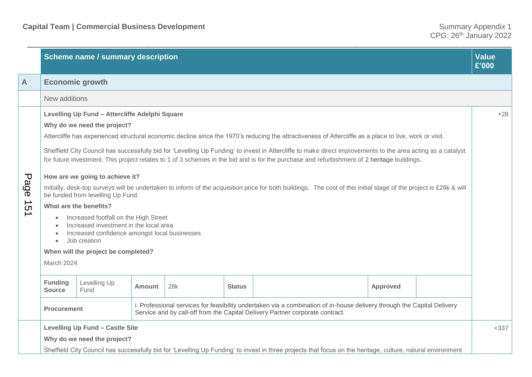|                        |                                                                                                                                                                                                                                                                                                                                                                                                                                                                                                                                                                                                                                                                                                                                                                                                                                                                                                                                                                                                                                                                                                                                                                                                                                                                                                                                                                                                                                                      | <b>Scheme name / summary description</b> |  |  |  |  |  |  | <b>Value</b><br>£'000 |
|------------------------|------------------------------------------------------------------------------------------------------------------------------------------------------------------------------------------------------------------------------------------------------------------------------------------------------------------------------------------------------------------------------------------------------------------------------------------------------------------------------------------------------------------------------------------------------------------------------------------------------------------------------------------------------------------------------------------------------------------------------------------------------------------------------------------------------------------------------------------------------------------------------------------------------------------------------------------------------------------------------------------------------------------------------------------------------------------------------------------------------------------------------------------------------------------------------------------------------------------------------------------------------------------------------------------------------------------------------------------------------------------------------------------------------------------------------------------------------|------------------------------------------|--|--|--|--|--|--|-----------------------|
| $\mathsf{A}$           |                                                                                                                                                                                                                                                                                                                                                                                                                                                                                                                                                                                                                                                                                                                                                                                                                                                                                                                                                                                                                                                                                                                                                                                                                                                                                                                                                                                                                                                      | <b>Economic growth</b>                   |  |  |  |  |  |  |                       |
|                        | New additions                                                                                                                                                                                                                                                                                                                                                                                                                                                                                                                                                                                                                                                                                                                                                                                                                                                                                                                                                                                                                                                                                                                                                                                                                                                                                                                                                                                                                                        |                                          |  |  |  |  |  |  |                       |
| Page<br>→<br><b>ຕາ</b> | Levelling Up Fund - Attercliffe Adelphi Square<br>Why do we need the project?<br>Attercliffe has experienced structural economic decline since the 1970's reducing the attractiveness of Attercliffe as a place to live, work or visit.<br>Sheffield City Council has successfully bid for 'Levelling Up Funding' to invest in Attercliffe to make direct improvements to the area acting as a catalyst<br>for future investment. This project relates to 1 of 3 schemes in the bid and is for the purchase and refurbishment of 2 heritage buildings.<br>How are we going to achieve it?<br>Initially, desk-top surveys will be undertaken to inform of the acquisition price for both buildings. The cost of this initial stage of the project is £28k & will<br>be funded from levelling Up Fund.<br>What are the benefits?<br>Increased footfall on the High Street<br>$\bullet$<br>Increased investment in the local area<br>$\bullet$<br>Increased confidence amongst local businesses<br>$\bullet$<br>Job creation<br>$\bullet$<br>When will the project be completed?<br>March 2024<br><b>Funding</b><br>Levelling Up<br>28k<br><b>Status</b><br><b>Approved</b><br><b>Amount</b><br><b>Source</b><br>Fund<br>i. Professional services for feasibility undertaken via a combination of in-house delivery through the Capital Delivery<br><b>Procurement</b><br>Service and by call-off from the Capital Delivery Partner corporate contract. |                                          |  |  |  |  |  |  | $+28$                 |
|                        | <b>Levelling Up Fund - Castle Site</b><br>Why do we need the project?<br>Sheffield City Council has successfully bid for 'Levelling Up Funding' to invest in three projects that focus on the heritage, culture, natural environment                                                                                                                                                                                                                                                                                                                                                                                                                                                                                                                                                                                                                                                                                                                                                                                                                                                                                                                                                                                                                                                                                                                                                                                                                 |                                          |  |  |  |  |  |  | $+337$                |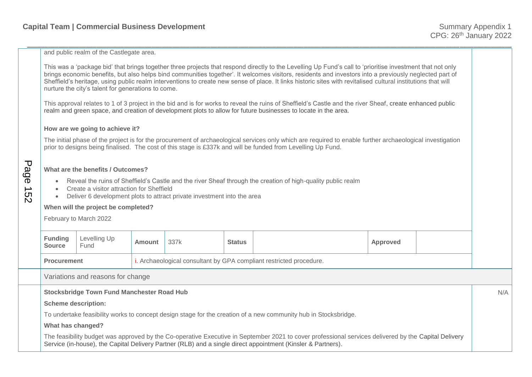and public realm of the Castlegate area.

This was a 'package bid' that brings together three projects that respond directly to the Levelling Up Fund's call to 'prioritise investment that not only brings economic benefits, but also helps bind communities together'. It welcomes visitors, residents and investors into a previously neglected part of Sheffield's heritage, using public realm interventions to create new sense of place. It links historic sites with revitalised cultural institutions that will nurture the city's talent for generations to come.

\_\_\_\_\_\_\_\_\_\_\_\_\_\_\_\_\_\_\_\_\_\_\_\_\_\_\_\_\_\_\_\_\_\_\_\_\_\_\_\_\_\_\_\_\_\_\_\_\_\_\_\_\_\_\_\_\_\_\_\_\_\_\_\_\_\_\_\_\_\_\_\_\_\_\_\_\_\_\_\_\_\_\_\_\_\_\_\_\_\_\_\_\_\_\_\_\_\_\_\_\_\_\_\_\_\_\_\_\_\_\_\_\_\_\_\_\_\_\_\_\_\_\_\_\_\_\_\_\_\_\_\_\_\_\_\_\_\_\_\_

This approval relates to 1 of 3 project in the bid and is for works to reveal the ruins of Sheffield's Castle and the river Sheaf, create enhanced public realm and green space, and creation of development plots to allow for future businesses to locate in the area.

## **How are we going to achieve it?**

The initial phase of the project is for the procurement of archaeological services only which are required to enable further archaeological investigation prior to designs being finalised. The cost of this stage is £337k and will be funded from Levelling Up Fund.

### **What are the benefits / Outcomes?**

- Reveal the ruins of Sheffield's Castle and the river Sheaf through the creation of high-quality public realm
- Create a visitor attraction for Sheffield
- Deliver 6 development plots to attract private investment into the area

#### **When will the project be completed?**

February to March 2022

Page 152

|                                                                                                                                                                                                                                                                      | <b>Funding</b><br><b>Source</b> | Levelling Up<br>Fund | <b>Amount</b>                                                       | 337k | <b>Status</b> |                                                                                                                 | <b>Approved</b> |     |  |
|----------------------------------------------------------------------------------------------------------------------------------------------------------------------------------------------------------------------------------------------------------------------|---------------------------------|----------------------|---------------------------------------------------------------------|------|---------------|-----------------------------------------------------------------------------------------------------------------|-----------------|-----|--|
|                                                                                                                                                                                                                                                                      | <b>Procurement</b>              |                      | i. Archaeological consultant by GPA compliant restricted procedure. |      |               |                                                                                                                 |                 |     |  |
| Variations and reasons for change                                                                                                                                                                                                                                    |                                 |                      |                                                                     |      |               |                                                                                                                 |                 |     |  |
| <b>Stocksbridge Town Fund Manchester Road Hub</b>                                                                                                                                                                                                                    |                                 |                      |                                                                     |      |               |                                                                                                                 |                 | N/A |  |
|                                                                                                                                                                                                                                                                      | <b>Scheme description:</b>      |                      |                                                                     |      |               |                                                                                                                 |                 |     |  |
|                                                                                                                                                                                                                                                                      |                                 |                      |                                                                     |      |               | To undertake feasibility works to concept design stage for the creation of a new community hub in Stocksbridge. |                 |     |  |
| What has changed?                                                                                                                                                                                                                                                    |                                 |                      |                                                                     |      |               |                                                                                                                 |                 |     |  |
| The feasibility budget was approved by the Co-operative Executive in September 2021 to cover professional services delivered by the Capital Delivery<br>Service (in-house), the Capital Delivery Partner (RLB) and a single direct appointment (Kinsler & Partners). |                                 |                      |                                                                     |      |               |                                                                                                                 |                 |     |  |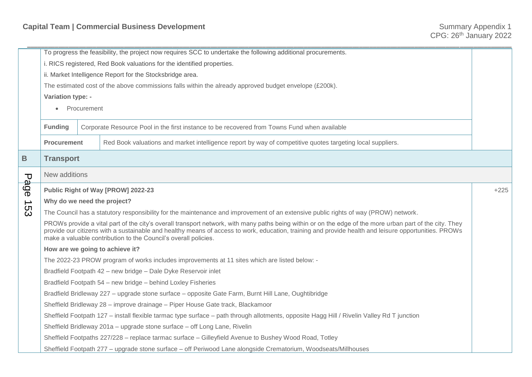|                   |                                                                                                                                     |  | To progress the feasibility, the project now requires SCC to undertake the following additional procurements.                                                                                                                                                                                                                                                                       |  |  |  |  |  |  |
|-------------------|-------------------------------------------------------------------------------------------------------------------------------------|--|-------------------------------------------------------------------------------------------------------------------------------------------------------------------------------------------------------------------------------------------------------------------------------------------------------------------------------------------------------------------------------------|--|--|--|--|--|--|
|                   |                                                                                                                                     |  | i. RICS registered, Red Book valuations for the identified properties.                                                                                                                                                                                                                                                                                                              |  |  |  |  |  |  |
|                   |                                                                                                                                     |  | ii. Market Intelligence Report for the Stocksbridge area.                                                                                                                                                                                                                                                                                                                           |  |  |  |  |  |  |
|                   | The estimated cost of the above commissions falls within the already approved budget envelope (£200k).                              |  |                                                                                                                                                                                                                                                                                                                                                                                     |  |  |  |  |  |  |
|                   | Variation type: -<br>Procurement                                                                                                    |  |                                                                                                                                                                                                                                                                                                                                                                                     |  |  |  |  |  |  |
|                   |                                                                                                                                     |  |                                                                                                                                                                                                                                                                                                                                                                                     |  |  |  |  |  |  |
|                   |                                                                                                                                     |  |                                                                                                                                                                                                                                                                                                                                                                                     |  |  |  |  |  |  |
|                   | Corporate Resource Pool in the first instance to be recovered from Towns Fund when available<br><b>Funding</b>                      |  |                                                                                                                                                                                                                                                                                                                                                                                     |  |  |  |  |  |  |
|                   | <b>Procurement</b>                                                                                                                  |  | Red Book valuations and market intelligence report by way of competitive quotes targeting local suppliers.                                                                                                                                                                                                                                                                          |  |  |  |  |  |  |
| B                 | <b>Transport</b>                                                                                                                    |  |                                                                                                                                                                                                                                                                                                                                                                                     |  |  |  |  |  |  |
| $\mathbf \sigma$  | New additions                                                                                                                       |  |                                                                                                                                                                                                                                                                                                                                                                                     |  |  |  |  |  |  |
| age<br>e          | Public Right of Way [PROW] 2022-23                                                                                                  |  |                                                                                                                                                                                                                                                                                                                                                                                     |  |  |  |  |  |  |
| $\rightharpoonup$ | Why do we need the project?                                                                                                         |  |                                                                                                                                                                                                                                                                                                                                                                                     |  |  |  |  |  |  |
| ပ္ပ               | The Council has a statutory responsibility for the maintenance and improvement of an extensive public rights of way (PROW) network. |  |                                                                                                                                                                                                                                                                                                                                                                                     |  |  |  |  |  |  |
|                   |                                                                                                                                     |  | PROWs provide a vital part of the city's overall transport network, with many paths being within or on the edge of the more urban part of the city. They<br>provide our citizens with a sustainable and healthy means of access to work, education, training and provide health and leisure opportunities. PROWs<br>make a valuable contribution to the Council's overall policies. |  |  |  |  |  |  |
|                   |                                                                                                                                     |  | How are we going to achieve it?                                                                                                                                                                                                                                                                                                                                                     |  |  |  |  |  |  |
|                   |                                                                                                                                     |  | The 2022-23 PROW program of works includes improvements at 11 sites which are listed below: -                                                                                                                                                                                                                                                                                       |  |  |  |  |  |  |
|                   |                                                                                                                                     |  | Bradfield Footpath 42 - new bridge - Dale Dyke Reservoir inlet                                                                                                                                                                                                                                                                                                                      |  |  |  |  |  |  |
|                   |                                                                                                                                     |  | Bradfield Footpath 54 - new bridge - behind Loxley Fisheries                                                                                                                                                                                                                                                                                                                        |  |  |  |  |  |  |
|                   |                                                                                                                                     |  | Bradfield Bridleway 227 - upgrade stone surface - opposite Gate Farm, Burnt Hill Lane, Oughtibridge                                                                                                                                                                                                                                                                                 |  |  |  |  |  |  |
|                   |                                                                                                                                     |  | Sheffield Bridleway 28 - improve drainage - Piper House Gate track, Blackamoor                                                                                                                                                                                                                                                                                                      |  |  |  |  |  |  |
|                   |                                                                                                                                     |  | Sheffield Footpath 127 - install flexible tarmac type surface - path through allotments, opposite Hagg Hill / Rivelin Valley Rd T junction                                                                                                                                                                                                                                          |  |  |  |  |  |  |
|                   |                                                                                                                                     |  | Sheffield Bridleway 201a - upgrade stone surface - off Long Lane, Rivelin                                                                                                                                                                                                                                                                                                           |  |  |  |  |  |  |
|                   |                                                                                                                                     |  | Sheffield Footpaths 227/228 - replace tarmac surface - Gilleyfield Avenue to Bushey Wood Road, Totley                                                                                                                                                                                                                                                                               |  |  |  |  |  |  |
|                   |                                                                                                                                     |  | Sheffield Footpath 277 - upgrade stone surface - off Periwood Lane alongside Crematorium, Woodseats/Millhouses                                                                                                                                                                                                                                                                      |  |  |  |  |  |  |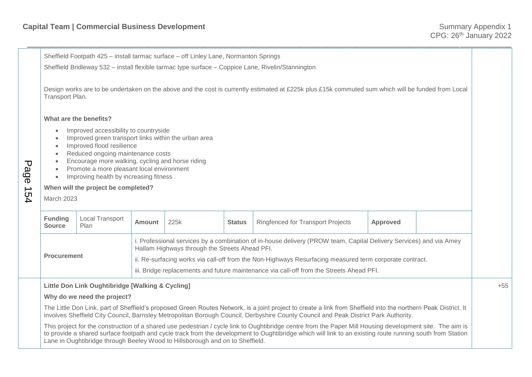|                             | Transport Plan.                                                                                                                                                                                                                                                                                                                                                                                                                                                                      |                                                  |               | Sheffield Footpath 425 - install tarmac surface - off Linley Lane, Normanton Springs |               | Sheffield Bridleway 532 - install flexible tarmac type surface - Coppice Lane, Rivelin/Stannington<br>Design works are to be undertaken on the above and the cost is currently estimated at £225k plus £15k commuted sum which will be funded from Local                                                               |          |  |       |
|-----------------------------|--------------------------------------------------------------------------------------------------------------------------------------------------------------------------------------------------------------------------------------------------------------------------------------------------------------------------------------------------------------------------------------------------------------------------------------------------------------------------------------|--------------------------------------------------|---------------|--------------------------------------------------------------------------------------|---------------|------------------------------------------------------------------------------------------------------------------------------------------------------------------------------------------------------------------------------------------------------------------------------------------------------------------------|----------|--|-------|
| Page<br>$\rightarrow$<br>54 | What are the benefits?<br>Improved accessibility to countryside<br>$\bullet$<br>Improved green transport links within the urban area<br>$\bullet$<br>Improved flood resilience<br>$\bullet$<br>Reduced ongoing maintenance costs<br>$\bullet$<br>Encourage more walking, cycling and horse riding<br>$\bullet$<br>Promote a more pleasant local environment<br>$\bullet$<br>Improving health by increasing fitness<br>$\bullet$<br>When will the project be completed?<br>March 2023 |                                                  |               |                                                                                      |               |                                                                                                                                                                                                                                                                                                                        |          |  |       |
|                             | <b>Funding</b><br><b>Source</b>                                                                                                                                                                                                                                                                                                                                                                                                                                                      | <b>Local Transport</b><br>Plan                   | <b>Amount</b> | 225k                                                                                 | <b>Status</b> | <b>Ringfenced for Transport Projects</b>                                                                                                                                                                                                                                                                               | Approved |  |       |
|                             | i. Professional services by a combination of in-house delivery (PROW team, Capital Delivery Services) and via Amey<br>Hallam Highways through the Streets Ahead PFI.<br><b>Procurement</b><br>ii. Re-surfacing works via call-off from the Non-Highways Resurfacing measured term corporate contract.<br>iii. Bridge replacements and future maintenance via call-off from the Streets Ahead PFI.                                                                                    |                                                  |               |                                                                                      |               |                                                                                                                                                                                                                                                                                                                        |          |  |       |
|                             |                                                                                                                                                                                                                                                                                                                                                                                                                                                                                      | Little Don Link Oughtibridge [Walking & Cycling] |               |                                                                                      |               |                                                                                                                                                                                                                                                                                                                        |          |  | $+55$ |
|                             |                                                                                                                                                                                                                                                                                                                                                                                                                                                                                      | Why do we need the project?                      |               |                                                                                      |               |                                                                                                                                                                                                                                                                                                                        |          |  |       |
|                             |                                                                                                                                                                                                                                                                                                                                                                                                                                                                                      |                                                  |               |                                                                                      |               | The Little Don Link, part of Sheffield's proposed Green Routes Network, is a joint project to create a link from Sheffield into the northern Peak District. It<br>involves Sheffield City Council, Barnsley Metropolitan Borough Council, Derbyshire County Council and Peak District Park Authority.                  |          |  |       |
|                             |                                                                                                                                                                                                                                                                                                                                                                                                                                                                                      |                                                  |               | Lane in Oughtibridge through Beeley Wood to Hillsborough and on to Sheffield.        |               | This project for the construction of a shared use pedestrian / cycle link to Oughtibridge centre from the Paper Mill Housing development site. The aim is<br>to provide a shared surface footpath and cycle track from the development to Oughtibridge which will link to an existing route running south from Station |          |  |       |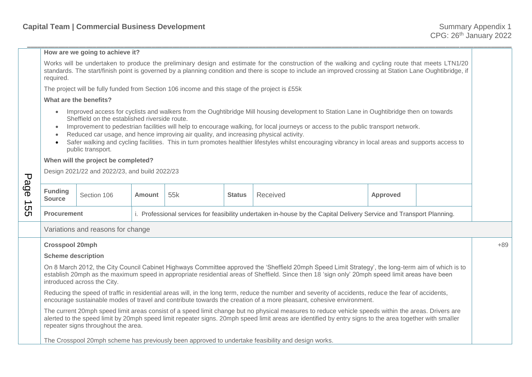# \_\_\_\_\_\_\_\_\_\_\_\_\_\_\_\_\_\_\_\_\_\_\_\_\_\_\_\_\_\_\_\_\_\_\_\_\_\_\_\_\_\_\_\_\_\_\_\_\_\_\_\_\_\_\_\_\_\_\_\_\_\_\_\_\_\_\_\_\_\_\_\_\_\_\_\_\_\_\_\_\_\_\_\_\_\_\_\_\_\_\_\_\_\_\_\_\_\_\_\_\_\_\_\_\_\_\_\_\_\_\_\_\_\_\_\_\_\_\_\_\_\_\_\_\_\_\_\_\_\_\_\_\_\_\_\_\_\_\_\_ **How are we going to achieve it?** Works will be undertaken to produce the preliminary design and estimate for the construction of the walking and cycling route that meets LTN1/20 standards. The start/finish point is governed by a planning condition and there is scope to include an improved crossing at Station Lane Oughtibridge, if required. The project will be fully funded from Section 106 income and this stage of the project is £55k **What are the benefits?** • Improved access for cyclists and walkers from the Oughtibridge Mill housing development to Station Lane in Oughtibridge then on towards Sheffield on the established riverside route. Improvement to pedestrian facilities will help to encourage walking, for local journeys or access to the public transport network. Reduced car usage, and hence improving air quality, and increasing physical activity. Safer walking and cycling facilities. This in turn promotes healthier lifestyles whilst encouraging vibrancy in local areas and supports access to public transport. **When will the project be completed?** Design 2021/22 and 2022/23, and build 2022/23 **Funding Source** Section 106 **Amount** 55k **Status** Received **Approved Approved Procurement** i. Professional services for feasibility undertaken in-house by the Capital Delivery Service and Transport Planning. Variations and reasons for change **Crosspool 20mph Scheme description** On 8 March 2012, the City Council Cabinet Highways Committee approved the 'Sheffield 20mph Speed Limit Strategy', the long-term aim of which is to establish 20mph as the maximum speed in appropriate residential areas of Sheffield. Since then 18 'sign only' 20mph speed limit areas have been introduced across the City. Reducing the speed of traffic in residential areas will, in the long term, reduce the number and severity of accidents, reduce the fear of accidents, encourage sustainable modes of travel and contribute towards the creation of a more pleasant, cohesive environment. The current 20mph speed limit areas consist of a speed limit change but no physical measures to reduce vehicle speeds within the areas. Drivers are alerted to the speed limit by 20mph speed limit repeater signs. 20mph speed limit areas are identified by entry signs to the area together with smaller repeater signs throughout the area. The Crosspool 20mph scheme has previously been approved to undertake feasibility and design works. +89 **Page 155**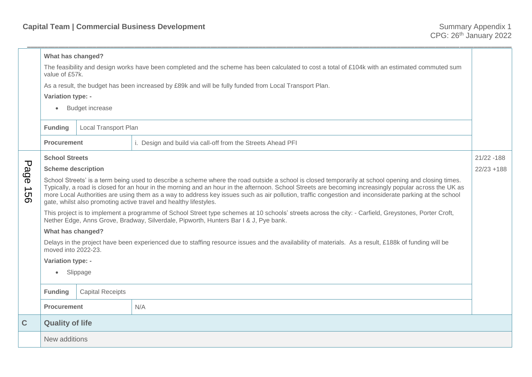|                                                    | What has changed?                                                                                                                                                                                                                                                                                                                                                                                                                                                                                                                             |                         |                                                                                                                                                 |  |  |  |  |  |
|----------------------------------------------------|-----------------------------------------------------------------------------------------------------------------------------------------------------------------------------------------------------------------------------------------------------------------------------------------------------------------------------------------------------------------------------------------------------------------------------------------------------------------------------------------------------------------------------------------------|-------------------------|-------------------------------------------------------------------------------------------------------------------------------------------------|--|--|--|--|--|
|                                                    | value of £57k.                                                                                                                                                                                                                                                                                                                                                                                                                                                                                                                                |                         | The feasibility and design works have been completed and the scheme has been calculated to cost a total of £104k with an estimated commuted sum |  |  |  |  |  |
|                                                    | As a result, the budget has been increased by £89k and will be fully funded from Local Transport Plan.                                                                                                                                                                                                                                                                                                                                                                                                                                        |                         |                                                                                                                                                 |  |  |  |  |  |
|                                                    | Variation type: -                                                                                                                                                                                                                                                                                                                                                                                                                                                                                                                             |                         |                                                                                                                                                 |  |  |  |  |  |
|                                                    | <b>Budget increase</b><br>$\bullet$                                                                                                                                                                                                                                                                                                                                                                                                                                                                                                           |                         |                                                                                                                                                 |  |  |  |  |  |
|                                                    | <b>Funding</b>                                                                                                                                                                                                                                                                                                                                                                                                                                                                                                                                | Local Transport Plan    |                                                                                                                                                 |  |  |  |  |  |
|                                                    | <b>Procurement</b>                                                                                                                                                                                                                                                                                                                                                                                                                                                                                                                            |                         | i. Design and build via call-off from the Streets Ahead PFI                                                                                     |  |  |  |  |  |
|                                                    | <b>School Streets</b><br>$21/22 - 188$                                                                                                                                                                                                                                                                                                                                                                                                                                                                                                        |                         |                                                                                                                                                 |  |  |  |  |  |
| Page<br>$\rightharpoonup$<br><u>(၂</u><br>$\sigma$ | <b>Scheme description</b>                                                                                                                                                                                                                                                                                                                                                                                                                                                                                                                     |                         |                                                                                                                                                 |  |  |  |  |  |
|                                                    | School Streets' is a term being used to describe a scheme where the road outside a school is closed temporarily at school opening and closing times.<br>Typically, a road is closed for an hour in the morning and an hour in the afternoon. School Streets are becoming increasingly popular across the UK as<br>more Local Authorities are using them as a way to address key issues such as air pollution, traffic congestion and inconsiderate parking at the school<br>gate, whilst also promoting active travel and healthy lifestyles. |                         |                                                                                                                                                 |  |  |  |  |  |
|                                                    | This project is to implement a programme of School Street type schemes at 10 schools' streets across the city: - Carfield, Greystones, Porter Croft,<br>Nether Edge, Anns Grove, Bradway, Silverdale, Pipworth, Hunters Bar I & J, Pye bank.                                                                                                                                                                                                                                                                                                  |                         |                                                                                                                                                 |  |  |  |  |  |
|                                                    | What has changed?                                                                                                                                                                                                                                                                                                                                                                                                                                                                                                                             |                         |                                                                                                                                                 |  |  |  |  |  |
|                                                    | Delays in the project have been experienced due to staffing resource issues and the availability of materials. As a result, £188k of funding will be<br>moved into 2022-23.                                                                                                                                                                                                                                                                                                                                                                   |                         |                                                                                                                                                 |  |  |  |  |  |
|                                                    | Variation type: -                                                                                                                                                                                                                                                                                                                                                                                                                                                                                                                             |                         |                                                                                                                                                 |  |  |  |  |  |
|                                                    | • Slippage                                                                                                                                                                                                                                                                                                                                                                                                                                                                                                                                    |                         |                                                                                                                                                 |  |  |  |  |  |
|                                                    | <b>Funding</b>                                                                                                                                                                                                                                                                                                                                                                                                                                                                                                                                | <b>Capital Receipts</b> |                                                                                                                                                 |  |  |  |  |  |
|                                                    | <b>Procurement</b>                                                                                                                                                                                                                                                                                                                                                                                                                                                                                                                            |                         | N/A                                                                                                                                             |  |  |  |  |  |
| $\mathbf C$                                        | <b>Quality of life</b>                                                                                                                                                                                                                                                                                                                                                                                                                                                                                                                        |                         |                                                                                                                                                 |  |  |  |  |  |
|                                                    | New additions                                                                                                                                                                                                                                                                                                                                                                                                                                                                                                                                 |                         |                                                                                                                                                 |  |  |  |  |  |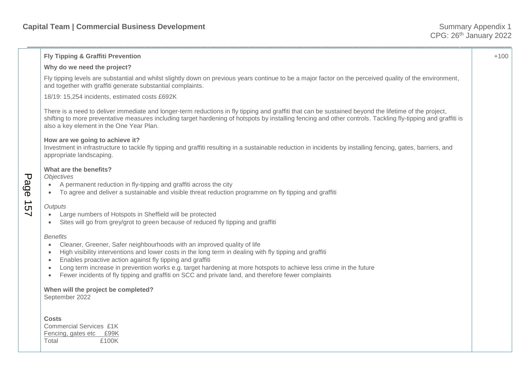|                                | <b>Fly Tipping &amp; Graffiti Prevention</b>                                                                                                                                                                                                                                                                                                                                                                                                                                                                                                                    | $+100$ |  |  |  |  |  |  |  |
|--------------------------------|-----------------------------------------------------------------------------------------------------------------------------------------------------------------------------------------------------------------------------------------------------------------------------------------------------------------------------------------------------------------------------------------------------------------------------------------------------------------------------------------------------------------------------------------------------------------|--------|--|--|--|--|--|--|--|
|                                | Why do we need the project?                                                                                                                                                                                                                                                                                                                                                                                                                                                                                                                                     |        |  |  |  |  |  |  |  |
|                                | Fly tipping levels are substantial and whilst slightly down on previous years continue to be a major factor on the perceived quality of the environment,<br>and together with graffiti generate substantial complaints.                                                                                                                                                                                                                                                                                                                                         |        |  |  |  |  |  |  |  |
|                                | 18/19: 15,254 incidents, estimated costs £692K                                                                                                                                                                                                                                                                                                                                                                                                                                                                                                                  |        |  |  |  |  |  |  |  |
|                                | There is a need to deliver immediate and longer-term reductions in fly tipping and graffiti that can be sustained beyond the lifetime of the project,<br>shifting to more preventative measures including target hardening of hotspots by installing fencing and other controls. Tackling fly-tipping and graffiti is<br>also a key element in the One Year Plan.                                                                                                                                                                                               |        |  |  |  |  |  |  |  |
|                                | How are we going to achieve it?<br>Investment in infrastructure to tackle fly tipping and graffiti resulting in a sustainable reduction in incidents by installing fencing, gates, barriers, and<br>appropriate landscaping.                                                                                                                                                                                                                                                                                                                                    |        |  |  |  |  |  |  |  |
| Page                           | What are the benefits?<br><b>Objectives</b><br>A permanent reduction in fly-tipping and graffiti across the city<br>To agree and deliver a sustainable and visible threat reduction programme on fly tipping and graffiti<br>$\bullet$                                                                                                                                                                                                                                                                                                                          |        |  |  |  |  |  |  |  |
| $\rightharpoonup$<br><b>27</b> | Outputs<br>Large numbers of Hotspots in Sheffield will be protected<br>$\bullet$<br>Sites will go from grey/grot to green because of reduced fly tipping and graffiti                                                                                                                                                                                                                                                                                                                                                                                           |        |  |  |  |  |  |  |  |
|                                | <b>Benefits</b><br>Cleaner, Greener, Safer neighbourhoods with an improved quality of life<br>$\bullet$<br>High visibility interventions and lower costs in the long term in dealing with fly tipping and graffiti<br>$\bullet$<br>Enables proactive action against fly tipping and graffiti<br>$\bullet$<br>Long term increase in prevention works e.g. target hardening at more hotspots to achieve less crime in the future<br>$\bullet$<br>Fewer incidents of fly tipping and graffiti on SCC and private land, and therefore fewer complaints<br>$\bullet$ |        |  |  |  |  |  |  |  |
|                                | When will the project be completed?<br>September 2022                                                                                                                                                                                                                                                                                                                                                                                                                                                                                                           |        |  |  |  |  |  |  |  |
|                                | <b>Costs</b><br><b>Commercial Services £1K</b><br>Fencing, gates etc £99K<br>£100K<br>Total                                                                                                                                                                                                                                                                                                                                                                                                                                                                     |        |  |  |  |  |  |  |  |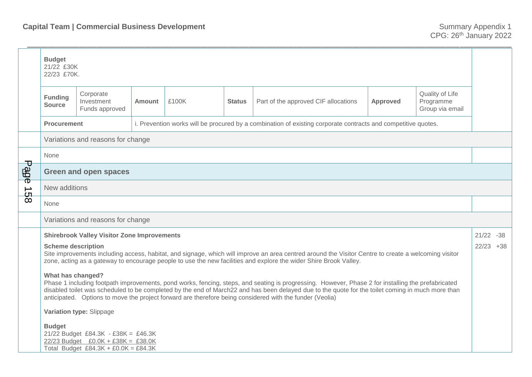|               | <b>Budget</b><br>21/22 £30K<br>22/23 £70K.                                                                                                                                                                                                                                                                                                                                                                                               |                                                                                                                   |               |       |               |                                      |          |                                                 |              |
|---------------|------------------------------------------------------------------------------------------------------------------------------------------------------------------------------------------------------------------------------------------------------------------------------------------------------------------------------------------------------------------------------------------------------------------------------------------|-------------------------------------------------------------------------------------------------------------------|---------------|-------|---------------|--------------------------------------|----------|-------------------------------------------------|--------------|
|               | <b>Funding</b><br><b>Source</b>                                                                                                                                                                                                                                                                                                                                                                                                          | Corporate<br>Investment<br>Funds approved                                                                         | <b>Amount</b> | £100K | <b>Status</b> | Part of the approved CIF allocations | Approved | Quality of Life<br>Programme<br>Group via email |              |
|               | i. Prevention works will be procured by a combination of existing corporate contracts and competitive quotes.<br><b>Procurement</b>                                                                                                                                                                                                                                                                                                      |                                                                                                                   |               |       |               |                                      |          |                                                 |              |
|               | Variations and reasons for change                                                                                                                                                                                                                                                                                                                                                                                                        |                                                                                                                   |               |       |               |                                      |          |                                                 |              |
|               | None                                                                                                                                                                                                                                                                                                                                                                                                                                     |                                                                                                                   |               |       |               |                                      |          |                                                 |              |
| <b>Page</b>   | <b>Green and open spaces</b>                                                                                                                                                                                                                                                                                                                                                                                                             |                                                                                                                   |               |       |               |                                      |          |                                                 |              |
| $\rightarrow$ | New additions                                                                                                                                                                                                                                                                                                                                                                                                                            |                                                                                                                   |               |       |               |                                      |          |                                                 |              |
| 89            | None                                                                                                                                                                                                                                                                                                                                                                                                                                     |                                                                                                                   |               |       |               |                                      |          |                                                 |              |
|               |                                                                                                                                                                                                                                                                                                                                                                                                                                          | Variations and reasons for change                                                                                 |               |       |               |                                      |          |                                                 |              |
|               |                                                                                                                                                                                                                                                                                                                                                                                                                                          | <b>Shirebrook Valley Visitor Zone Improvements</b>                                                                |               |       |               |                                      |          |                                                 | $21/22 - 38$ |
|               | <b>Scheme description</b><br>Site improvements including access, habitat, and signage, which will improve an area centred around the Visitor Centre to create a welcoming visitor<br>zone, acting as a gateway to encourage people to use the new facilities and explore the wider Shire Brook Valley.                                                                                                                                   |                                                                                                                   |               |       |               |                                      |          | 22/23<br>$+38$                                  |              |
|               | What has changed?<br>Phase 1 including footpath improvements, pond works, fencing, steps, and seating is progressing. However, Phase 2 for installing the prefabricated<br>disabled toilet was scheduled to be completed by the end of March22 and has been delayed due to the quote for the toilet coming in much more than<br>anticipated. Options to move the project forward are therefore being considered with the funder (Veolia) |                                                                                                                   |               |       |               |                                      |          |                                                 |              |
|               | Variation type: Slippage                                                                                                                                                                                                                                                                                                                                                                                                                 |                                                                                                                   |               |       |               |                                      |          |                                                 |              |
|               | <b>Budget</b>                                                                                                                                                                                                                                                                                                                                                                                                                            | 21/22 Budget £84.3K - £38K = £46.3K<br>22/23 Budget £0.0K + £38K = £38.0K<br>Total Budget £84.3K + £0.0K = £84.3K |               |       |               |                                      |          |                                                 |              |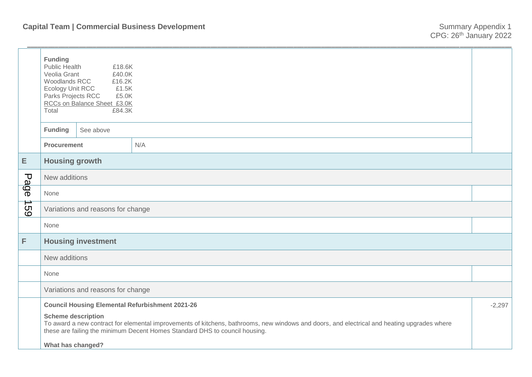|             | <b>Funding</b><br>Public Health<br>£18.6K<br>Veolia Grant<br>£40.0K<br>Woodlands RCC<br>£16.2K<br>Ecology Unit RCC<br>£1.5K<br>Parks Projects RCC<br>£5.0K<br>RCCs on Balance Sheet £3.0K<br>Total<br>£84.3K<br>See above<br><b>Funding</b> |                           |                                                                                                                                                                                                                            |  |  |  |  |  |
|-------------|---------------------------------------------------------------------------------------------------------------------------------------------------------------------------------------------------------------------------------------------|---------------------------|----------------------------------------------------------------------------------------------------------------------------------------------------------------------------------------------------------------------------|--|--|--|--|--|
|             |                                                                                                                                                                                                                                             |                           |                                                                                                                                                                                                                            |  |  |  |  |  |
|             | N/A<br><b>Procurement</b>                                                                                                                                                                                                                   |                           |                                                                                                                                                                                                                            |  |  |  |  |  |
| E           | <b>Housing growth</b>                                                                                                                                                                                                                       |                           |                                                                                                                                                                                                                            |  |  |  |  |  |
|             | New additions                                                                                                                                                                                                                               |                           |                                                                                                                                                                                                                            |  |  |  |  |  |
| <b>Page</b> | None                                                                                                                                                                                                                                        |                           |                                                                                                                                                                                                                            |  |  |  |  |  |
| ⇉<br>89     | Variations and reasons for change                                                                                                                                                                                                           |                           |                                                                                                                                                                                                                            |  |  |  |  |  |
|             | None                                                                                                                                                                                                                                        |                           |                                                                                                                                                                                                                            |  |  |  |  |  |
| F           |                                                                                                                                                                                                                                             | <b>Housing investment</b> |                                                                                                                                                                                                                            |  |  |  |  |  |
|             | New additions                                                                                                                                                                                                                               |                           |                                                                                                                                                                                                                            |  |  |  |  |  |
|             | None                                                                                                                                                                                                                                        |                           |                                                                                                                                                                                                                            |  |  |  |  |  |
|             | Variations and reasons for change                                                                                                                                                                                                           |                           |                                                                                                                                                                                                                            |  |  |  |  |  |
|             | <b>Council Housing Elemental Refurbishment 2021-26</b><br>$-2,297$                                                                                                                                                                          |                           |                                                                                                                                                                                                                            |  |  |  |  |  |
|             | <b>Scheme description</b>                                                                                                                                                                                                                   |                           | To award a new contract for elemental improvements of kitchens, bathrooms, new windows and doors, and electrical and heating upgrades where<br>these are failing the minimum Decent Homes Standard DHS to council housing. |  |  |  |  |  |
|             | What has changed?                                                                                                                                                                                                                           |                           |                                                                                                                                                                                                                            |  |  |  |  |  |

\_\_\_\_\_\_\_\_\_\_\_\_\_\_\_\_\_\_\_\_\_\_\_\_\_\_\_\_\_\_\_\_\_\_\_\_\_\_\_\_\_\_\_\_\_\_\_\_\_\_\_\_\_\_\_\_\_\_\_\_\_\_\_\_\_\_\_\_\_\_\_\_\_\_\_\_\_\_\_\_\_\_\_\_\_\_\_\_\_\_\_\_\_\_\_\_\_\_\_\_\_\_\_\_\_\_\_\_\_\_\_\_\_\_\_\_\_\_\_\_\_\_\_\_\_\_\_\_\_\_\_\_\_\_\_\_\_\_\_\_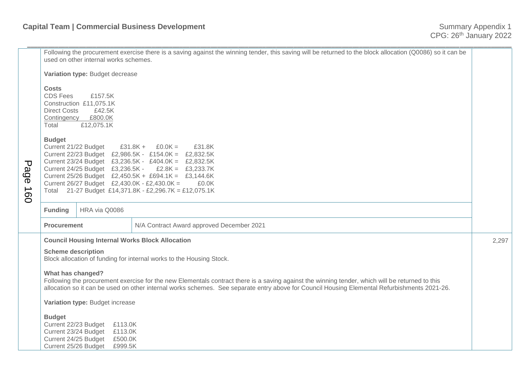|                                       |                                                                                                                                                                                                                                                                                                                                                                                                                             | used on other internal works schemes.                                             | Following the procurement exercise there is a saving against the winning tender, this saving will be returned to the block allocation (Q0086) so it can be |  |  |  |  |
|---------------------------------------|-----------------------------------------------------------------------------------------------------------------------------------------------------------------------------------------------------------------------------------------------------------------------------------------------------------------------------------------------------------------------------------------------------------------------------|-----------------------------------------------------------------------------------|------------------------------------------------------------------------------------------------------------------------------------------------------------|--|--|--|--|
|                                       | Variation type: Budget decrease                                                                                                                                                                                                                                                                                                                                                                                             |                                                                                   |                                                                                                                                                            |  |  |  |  |
|                                       | <b>Costs</b><br><b>CDS Fees</b><br><b>Direct Costs</b><br>Total                                                                                                                                                                                                                                                                                                                                                             | £157.5K<br>Construction £11,075.1K<br>£42.5K<br>Contingency £800.0K<br>£12,075.1K |                                                                                                                                                            |  |  |  |  |
| $\mathbf{\overline{U}}$<br>age<br>160 | <b>Budget</b><br>Current 21/22 Budget<br>$£31.8K + £0.0K =$<br>£31.8K<br>Current 22/23 Budget £2,986.5K - £154.0K = £2,832.5K<br>Current 23/24 Budget £3,236.5K - £404.0K = £2,832.5K<br>Current 24/25 Budget £3,236.5K -<br>$£2.8K = £3,233.7K$<br>Current 25/26 Budget £2,450.5K + £694.1K = £3,144.6K<br>Current 26/27 Budget £2,430.0K - £2,430.0K =<br>£0.0K<br>Total 21-27 Budget £14,371.8K - £2,296.7K = £12,075.1K |                                                                                   |                                                                                                                                                            |  |  |  |  |
|                                       | <b>Funding</b><br>HRA via Q0086                                                                                                                                                                                                                                                                                                                                                                                             |                                                                                   |                                                                                                                                                            |  |  |  |  |
|                                       | <b>Procurement</b>                                                                                                                                                                                                                                                                                                                                                                                                          |                                                                                   | N/A Contract Award approved December 2021                                                                                                                  |  |  |  |  |
|                                       | <b>Council Housing Internal Works Block Allocation</b>                                                                                                                                                                                                                                                                                                                                                                      |                                                                                   |                                                                                                                                                            |  |  |  |  |
|                                       | <b>Scheme description</b>                                                                                                                                                                                                                                                                                                                                                                                                   |                                                                                   | Block allocation of funding for internal works to the Housing Stock.                                                                                       |  |  |  |  |
|                                       | What has changed?<br>Following the procurement exercise for the new Elementals contract there is a saving against the winning tender, which will be returned to this<br>allocation so it can be used on other internal works schemes. See separate entry above for Council Housing Elemental Refurbishments 2021-26.                                                                                                        |                                                                                   |                                                                                                                                                            |  |  |  |  |
|                                       | Variation type: Budget increase                                                                                                                                                                                                                                                                                                                                                                                             |                                                                                   |                                                                                                                                                            |  |  |  |  |
|                                       | <b>Budget</b><br>Current 23/24 Budget<br>Current 24/25 Budget<br>Current 25/26 Budget                                                                                                                                                                                                                                                                                                                                       | Current 22/23 Budget<br>£113.0K<br>£113.0K<br>£500.0K<br>£999.5K                  |                                                                                                                                                            |  |  |  |  |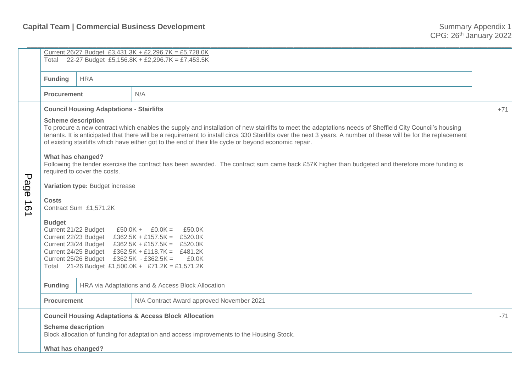|                                 | Total                                                                                                                                                                                                                                                                                                                                                                                                                                                              |                                                 | Current 26/27 Budget £3,431.3K + £2,296.7K = £5,728.0K<br>22-27 Budget £5,156.8K + £2,296.7K = £7,453.5K |       |  |  |  |
|---------------------------------|--------------------------------------------------------------------------------------------------------------------------------------------------------------------------------------------------------------------------------------------------------------------------------------------------------------------------------------------------------------------------------------------------------------------------------------------------------------------|-------------------------------------------------|----------------------------------------------------------------------------------------------------------|-------|--|--|--|
|                                 |                                                                                                                                                                                                                                                                                                                                                                                                                                                                    |                                                 |                                                                                                          |       |  |  |  |
|                                 | <b>HRA</b><br><b>Funding</b>                                                                                                                                                                                                                                                                                                                                                                                                                                       |                                                 |                                                                                                          |       |  |  |  |
|                                 |                                                                                                                                                                                                                                                                                                                                                                                                                                                                    | N/A<br><b>Procurement</b>                       |                                                                                                          |       |  |  |  |
| ᠊ᠸ                              |                                                                                                                                                                                                                                                                                                                                                                                                                                                                    | <b>Council Housing Adaptations - Stairlifts</b> |                                                                                                          | $+71$ |  |  |  |
|                                 | <b>Scheme description</b><br>To procure a new contract which enables the supply and installation of new stairlifts to meet the adaptations needs of Sheffield City Council's housing<br>tenants. It is anticipated that there will be a requirement to install circa 330 Stairlifts over the next 3 years. A number of these will be for the replacement<br>of existing stairlifts which have either got to the end of their life cycle or beyond economic repair. |                                                 |                                                                                                          |       |  |  |  |
|                                 | What has changed?<br>Following the tender exercise the contract has been awarded. The contract sum came back £57K higher than budgeted and therefore more funding is<br>required to cover the costs.                                                                                                                                                                                                                                                               |                                                 |                                                                                                          |       |  |  |  |
| age                             | Variation type: Budget increase                                                                                                                                                                                                                                                                                                                                                                                                                                    |                                                 |                                                                                                          |       |  |  |  |
| $\rightarrow$<br>$\overline{Q}$ | <b>Costs</b><br>Contract Sum £1,571.2K                                                                                                                                                                                                                                                                                                                                                                                                                             |                                                 |                                                                                                          |       |  |  |  |
|                                 | <b>Budget</b><br>Current 21/22 Budget<br>$£50.0K + £0.0K = £50.0K$<br>Current 22/23 Budget £362.5K + £157.5K = £520.0K<br>Current 23/24 Budget £362.5K + £157.5K = £520.0K<br>Current 24/25 Budget £362.5K + £118.7K = £481.2K<br>Current 25/26 Budget £362.5K - £362.5K = £0.0K<br>Total 21-26 Budget £1,500.0K + £71.2K = £1,571.2K                                                                                                                              |                                                 |                                                                                                          |       |  |  |  |
|                                 | <b>Funding</b>                                                                                                                                                                                                                                                                                                                                                                                                                                                     |                                                 | HRA via Adaptations and & Access Block Allocation                                                        |       |  |  |  |
|                                 | <b>Procurement</b>                                                                                                                                                                                                                                                                                                                                                                                                                                                 |                                                 | N/A Contract Award approved November 2021                                                                |       |  |  |  |
|                                 | <b>Council Housing Adaptations &amp; Access Block Allocation</b>                                                                                                                                                                                                                                                                                                                                                                                                   |                                                 |                                                                                                          |       |  |  |  |
|                                 | <b>Scheme description</b><br>Block allocation of funding for adaptation and access improvements to the Housing Stock.                                                                                                                                                                                                                                                                                                                                              |                                                 |                                                                                                          |       |  |  |  |
|                                 | What has changed?                                                                                                                                                                                                                                                                                                                                                                                                                                                  |                                                 |                                                                                                          |       |  |  |  |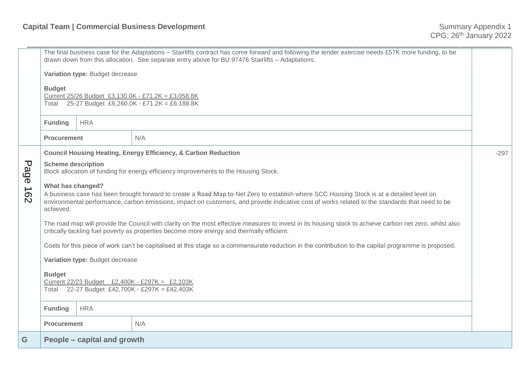|                                                      | <b>Funding</b><br><b>HRA</b><br>N/A<br><b>Procurement</b>                                                                                                                                                                                                                                                                     |                                 |                                                                                                                                                                                                                                                         |        |  |  |  |
|------------------------------------------------------|-------------------------------------------------------------------------------------------------------------------------------------------------------------------------------------------------------------------------------------------------------------------------------------------------------------------------------|---------------------------------|---------------------------------------------------------------------------------------------------------------------------------------------------------------------------------------------------------------------------------------------------------|--------|--|--|--|
|                                                      | <b>Budget</b><br>Current 22/23 Budget £2,400K - £297K = £2,103K<br>Total 22-27 Budget £42,700K - £297K = £42,403K                                                                                                                                                                                                             |                                 |                                                                                                                                                                                                                                                         |        |  |  |  |
|                                                      | Costs for this piece of work can't be capitalised at this stage so a commensurate reduction in the contribution to the capital programme is proposed.<br>Variation type: Budget decrease                                                                                                                                      |                                 |                                                                                                                                                                                                                                                         |        |  |  |  |
|                                                      | The road map will provide the Council with clarity on the most effective measures to invest in its housing stock to achieve carbon net zero, whilst also<br>critically tackling fuel poverty as properties become more energy and thermally efficient.                                                                        |                                 |                                                                                                                                                                                                                                                         |        |  |  |  |
| $\overline{\phantom{a}}$<br>$\overline{\mathcal{C}}$ | What has changed?<br>A business case has been brought forward to create a Road Map to Net Zero to establish where SCC Housing Stock is at a detailed level on<br>environmental performance, carbon emissions, impact on customers, and provide indicative cost of works related to the standards that need to be<br>achieved. |                                 |                                                                                                                                                                                                                                                         |        |  |  |  |
| Page                                                 | <b>Scheme description</b><br>Block allocation of funding for energy efficiency improvements to the Housing Stock.                                                                                                                                                                                                             |                                 |                                                                                                                                                                                                                                                         |        |  |  |  |
|                                                      |                                                                                                                                                                                                                                                                                                                               |                                 | <b>Council Housing Heating, Energy Efficiency, &amp; Carbon Reduction</b>                                                                                                                                                                               | $-297$ |  |  |  |
|                                                      | <b>Procurement</b>                                                                                                                                                                                                                                                                                                            |                                 | N/A                                                                                                                                                                                                                                                     |        |  |  |  |
|                                                      | <b>Funding</b>                                                                                                                                                                                                                                                                                                                | <b>HRA</b>                      |                                                                                                                                                                                                                                                         |        |  |  |  |
|                                                      | <b>Budget</b>                                                                                                                                                                                                                                                                                                                 |                                 | Current 25/26 Budget £3,130.0K - £71.2K = £3,058.8K<br>Total 25-27 Budget £6,260.0K - £71.2K = £6,188.8K                                                                                                                                                |        |  |  |  |
|                                                      |                                                                                                                                                                                                                                                                                                                               | Variation type: Budget decrease |                                                                                                                                                                                                                                                         |        |  |  |  |
|                                                      |                                                                                                                                                                                                                                                                                                                               |                                 | The final business case for the Adaptations - Stairlifts contract has come forward and following the tender exercise needs £57K more funding, to be<br>drawn down from this allocation. See separate entry above for BU 97476 Stairlifts - Adaptations. |        |  |  |  |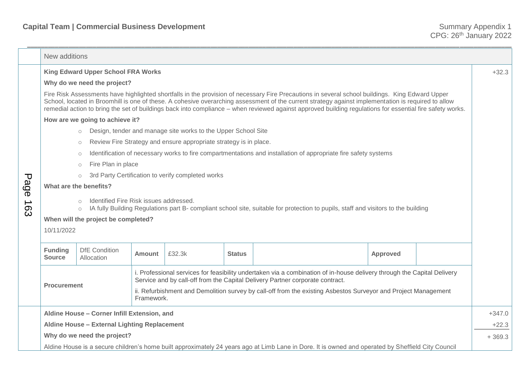|                 | New additions                                                                                                                                                                                                                                                                                                                                                                                                                                                       |                                              |            |                                                                   |               |                                                                                                                                                                                                          |                 |          |          |
|-----------------|---------------------------------------------------------------------------------------------------------------------------------------------------------------------------------------------------------------------------------------------------------------------------------------------------------------------------------------------------------------------------------------------------------------------------------------------------------------------|----------------------------------------------|------------|-------------------------------------------------------------------|---------------|----------------------------------------------------------------------------------------------------------------------------------------------------------------------------------------------------------|-----------------|----------|----------|
|                 | <b>King Edward Upper School FRA Works</b>                                                                                                                                                                                                                                                                                                                                                                                                                           |                                              |            |                                                                   |               |                                                                                                                                                                                                          |                 |          | $+32.3$  |
|                 | Why do we need the project?                                                                                                                                                                                                                                                                                                                                                                                                                                         |                                              |            |                                                                   |               |                                                                                                                                                                                                          |                 |          |          |
|                 | Fire Risk Assessments have highlighted shortfalls in the provision of necessary Fire Precautions in several school buildings. King Edward Upper<br>School, located in Broomhill is one of these. A cohesive overarching assessment of the current strategy against implementation is required to allow<br>remedial action to bring the set of buildings back into compliance - when reviewed against approved building regulations for essential fire safety works. |                                              |            |                                                                   |               |                                                                                                                                                                                                          |                 |          |          |
|                 |                                                                                                                                                                                                                                                                                                                                                                                                                                                                     | How are we going to achieve it?              |            |                                                                   |               |                                                                                                                                                                                                          |                 |          |          |
|                 |                                                                                                                                                                                                                                                                                                                                                                                                                                                                     | $\circ$                                      |            | Design, tender and manage site works to the Upper School Site     |               |                                                                                                                                                                                                          |                 |          |          |
|                 |                                                                                                                                                                                                                                                                                                                                                                                                                                                                     | $\circ$                                      |            | Review Fire Strategy and ensure appropriate strategy is in place. |               |                                                                                                                                                                                                          |                 |          |          |
|                 |                                                                                                                                                                                                                                                                                                                                                                                                                                                                     | $\bigcirc$                                   |            |                                                                   |               | Identification of necessary works to fire compartmentations and installation of appropriate fire safety systems                                                                                          |                 |          |          |
|                 |                                                                                                                                                                                                                                                                                                                                                                                                                                                                     | Fire Plan in place<br>$\circ$                |            |                                                                   |               |                                                                                                                                                                                                          |                 |          |          |
|                 |                                                                                                                                                                                                                                                                                                                                                                                                                                                                     | $\circ$                                      |            | 3rd Party Certification to verify completed works                 |               |                                                                                                                                                                                                          |                 |          |          |
| Page            | What are the benefits?                                                                                                                                                                                                                                                                                                                                                                                                                                              |                                              |            |                                                                   |               |                                                                                                                                                                                                          |                 |          |          |
| $\overline{63}$ | Identified Fire Risk issues addressed.<br>$\circ$<br>IA fully Building Regulations part B- compliant school site, suitable for protection to pupils, staff and visitors to the building<br>$\circ$                                                                                                                                                                                                                                                                  |                                              |            |                                                                   |               |                                                                                                                                                                                                          |                 |          |          |
|                 | When will the project be completed?                                                                                                                                                                                                                                                                                                                                                                                                                                 |                                              |            |                                                                   |               |                                                                                                                                                                                                          |                 |          |          |
|                 | 10/11/2022                                                                                                                                                                                                                                                                                                                                                                                                                                                          |                                              |            |                                                                   |               |                                                                                                                                                                                                          |                 |          |          |
|                 | <b>Funding</b><br><b>Source</b>                                                                                                                                                                                                                                                                                                                                                                                                                                     | <b>DfE</b> Condition<br>Allocation           | Amount     | £32.3k                                                            | <b>Status</b> |                                                                                                                                                                                                          | <b>Approved</b> |          |          |
|                 | <b>Procurement</b>                                                                                                                                                                                                                                                                                                                                                                                                                                                  |                                              |            |                                                                   |               | i. Professional services for feasibility undertaken via a combination of in-house delivery through the Capital Delivery<br>Service and by call-off from the Capital Delivery Partner corporate contract. |                 |          |          |
|                 |                                                                                                                                                                                                                                                                                                                                                                                                                                                                     |                                              | Framework. |                                                                   |               | ii. Refurbishment and Demolition survey by call-off from the existing Asbestos Surveyor and Project Management                                                                                           |                 |          |          |
|                 | Aldine House - Corner Infill Extension, and                                                                                                                                                                                                                                                                                                                                                                                                                         |                                              |            |                                                                   |               |                                                                                                                                                                                                          |                 | $+347.0$ |          |
|                 |                                                                                                                                                                                                                                                                                                                                                                                                                                                                     | Aldine House - External Lighting Replacement |            |                                                                   |               |                                                                                                                                                                                                          |                 |          | $+22.3$  |
|                 |                                                                                                                                                                                                                                                                                                                                                                                                                                                                     | Why do we need the project?                  |            |                                                                   |               |                                                                                                                                                                                                          |                 |          | $+369.3$ |
|                 |                                                                                                                                                                                                                                                                                                                                                                                                                                                                     |                                              |            |                                                                   |               | Aldine House is a secure children's home built approximately 24 years ago at Limb Lane in Dore. It is owned and operated by Sheffield City Council                                                       |                 |          |          |

\_\_\_\_\_\_\_\_\_\_\_\_\_\_\_\_\_\_\_\_\_\_\_\_\_\_\_\_\_\_\_\_\_\_\_\_\_\_\_\_\_\_\_\_\_\_\_\_\_\_\_\_\_\_\_\_\_\_\_\_\_\_\_\_\_\_\_\_\_\_\_\_\_\_\_\_\_\_\_\_\_\_\_\_\_\_\_\_\_\_\_\_\_\_\_\_\_\_\_\_\_\_\_\_\_\_\_\_\_\_\_\_\_\_\_\_\_\_\_\_\_\_\_\_\_\_\_\_\_\_\_\_\_\_\_\_\_\_\_\_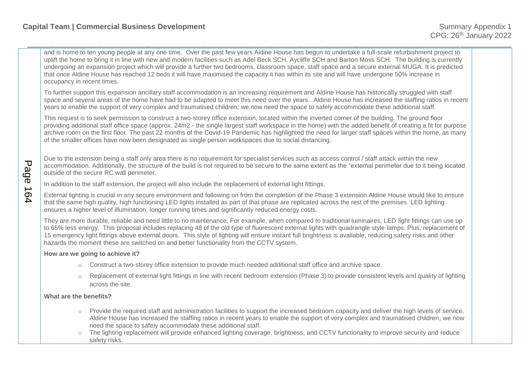and is home to ten young people at any one time. Over the past few years Aldine House has begun to undertake a full-scale refurbishment project to uplift the home to bring it in line with new and modern facilities such as Adel Beck SCH, Aycliffe SCH and Barton Moss SCH. The building is currently undergoing an expansion project which will provide a further two bedrooms, classroom space, staff space and a secure external MUGA. It is predicted that once Aldine House has reached 12 beds it will have maximised the capacity it has within its site and will have undergone 50% increase in occupancy in recent times.

\_\_\_\_\_\_\_\_\_\_\_\_\_\_\_\_\_\_\_\_\_\_\_\_\_\_\_\_\_\_\_\_\_\_\_\_\_\_\_\_\_\_\_\_\_\_\_\_\_\_\_\_\_\_\_\_\_\_\_\_\_\_\_\_\_\_\_\_\_\_\_\_\_\_\_\_\_\_\_\_\_\_\_\_\_\_\_\_\_\_\_\_\_\_\_\_\_\_\_\_\_\_\_\_\_\_\_\_\_\_\_\_\_\_\_\_\_\_\_\_\_\_\_\_\_\_\_\_\_\_\_\_\_\_\_\_\_\_\_\_

To further support this expansion ancillary staff accommodation is an increasing requirement and Aldine House has historically struggled with staff space and several areas of the home have had to be adapted to meet this need over the years. Aldine House has increased the staffing ratios in recent years to enable the support of very complex and traumatised children; we now need the space to safely accommodate these additional staff.

This request is to seek permission to construct a two-storey office extension, located within the inverted corner of the building. The ground floor providing additional staff office space (approx. 24m2 - the single largest staff workspace in the home) with the added benefit of creating a fit for purpose archive room on the first floor. The past 22 months of the Covid-19 Pandemic has highlighted the need for larger staff spaces within the home, as many of the smaller offices have now been designated as single person workspaces due to social distancing.

Due to the extension being a staff only area there is no requirement for specialist services such as access control / staff attack within the new accommodation. Additionally, the structure of the build is not required to be secure to the same extent as the "external perimeter due to it being located outside of the secure RC wall perimeter.

In addition to the staff extension, the project will also include the replacement of external light fittings.

External lighting is crucial in any secure environment and following on from the completion of the Phase 3 extension Aldine House would like to ensure that the same high quality, high functioning LED lights installed as part of that phase are replicated across the rest of the premises. LED lighting ensures a higher level of illumination, longer running times and significantly reduced energy costs.

They are more durable, reliable and need little to no maintenance. For example, when compared to traditional luminaires, LED light fittings can use up to 65% less energy. This proposal includes replacing 48 of the old type of fluorescent external lights with quadrangle style lamps. Plus, replacement of 15 emergency light fittings above external doors. This style of lighting will ensure instant full brightness is available, reducing safety risks and other hazards the moment these are switched on and better functionality from the CCTV system.

# **How are we going to achieve it?**

- o Construct a two-storey office extension to provide much needed additional staff office and archive space.
- o Replacement of external light fittings in line with recent bedroom extension (Phase 3) to provide consistent levels and quality of lighting across the site.

# **What are the benefits?**

- o Provide the required staff and administration facilities to support the increased bedroom capacity and deliver the high levels of service. Aldine House has increased the staffing ratios in recent years to enable the support of very complex and traumatised children; we now need the space to safely accommodate these additional staff.
- o The lighting replacement will provide enhanced lighting coverage, brightness, and CCTV functionality to improve security and reduce safety risks.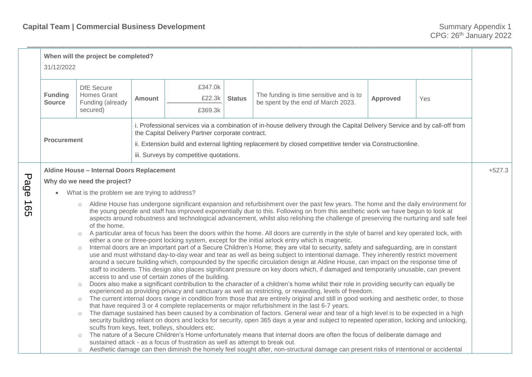|            | When will the project be completed?<br>31/12/2022                                                                                                                                                                                                                                                                                                                                                                                                                                                                                                                                                                                                                                                                                                                                                                                                                                                                                                                                                                                                                                                                                                                                                                                                                                                                                                                                                                                                                                                                                                                                                                                                                                                                                                                                                                                                                                                                                                                                                                                                                                                                                                                                                                                                                                                                                                                                                                                                                                                                                                                                                                                                                                 |                                                                         |                                                                                                                                                                                                                                                                                           |                              |               |                                                                               |          |     |  |
|------------|-----------------------------------------------------------------------------------------------------------------------------------------------------------------------------------------------------------------------------------------------------------------------------------------------------------------------------------------------------------------------------------------------------------------------------------------------------------------------------------------------------------------------------------------------------------------------------------------------------------------------------------------------------------------------------------------------------------------------------------------------------------------------------------------------------------------------------------------------------------------------------------------------------------------------------------------------------------------------------------------------------------------------------------------------------------------------------------------------------------------------------------------------------------------------------------------------------------------------------------------------------------------------------------------------------------------------------------------------------------------------------------------------------------------------------------------------------------------------------------------------------------------------------------------------------------------------------------------------------------------------------------------------------------------------------------------------------------------------------------------------------------------------------------------------------------------------------------------------------------------------------------------------------------------------------------------------------------------------------------------------------------------------------------------------------------------------------------------------------------------------------------------------------------------------------------------------------------------------------------------------------------------------------------------------------------------------------------------------------------------------------------------------------------------------------------------------------------------------------------------------------------------------------------------------------------------------------------------------------------------------------------------------------------------------------------|-------------------------------------------------------------------------|-------------------------------------------------------------------------------------------------------------------------------------------------------------------------------------------------------------------------------------------------------------------------------------------|------------------------------|---------------|-------------------------------------------------------------------------------|----------|-----|--|
|            | <b>Funding</b><br><b>Source</b>                                                                                                                                                                                                                                                                                                                                                                                                                                                                                                                                                                                                                                                                                                                                                                                                                                                                                                                                                                                                                                                                                                                                                                                                                                                                                                                                                                                                                                                                                                                                                                                                                                                                                                                                                                                                                                                                                                                                                                                                                                                                                                                                                                                                                                                                                                                                                                                                                                                                                                                                                                                                                                                   | <b>DfE</b> Secure<br><b>Homes Grant</b><br>Funding (already<br>secured) | <b>Amount</b>                                                                                                                                                                                                                                                                             | £347.0k<br>£22.3k<br>£369.3k | <b>Status</b> | The funding is time sensitive and is to<br>be spent by the end of March 2023. | Approved | Yes |  |
|            | <b>Procurement</b>                                                                                                                                                                                                                                                                                                                                                                                                                                                                                                                                                                                                                                                                                                                                                                                                                                                                                                                                                                                                                                                                                                                                                                                                                                                                                                                                                                                                                                                                                                                                                                                                                                                                                                                                                                                                                                                                                                                                                                                                                                                                                                                                                                                                                                                                                                                                                                                                                                                                                                                                                                                                                                                                |                                                                         | i. Professional services via a combination of in-house delivery through the Capital Delivery Service and by call-off from<br>the Capital Delivery Partner corporate contract.<br>ii. Extension build and external lighting replacement by closed competitive tender via Constructionline. |                              |               |                                                                               |          |     |  |
|            |                                                                                                                                                                                                                                                                                                                                                                                                                                                                                                                                                                                                                                                                                                                                                                                                                                                                                                                                                                                                                                                                                                                                                                                                                                                                                                                                                                                                                                                                                                                                                                                                                                                                                                                                                                                                                                                                                                                                                                                                                                                                                                                                                                                                                                                                                                                                                                                                                                                                                                                                                                                                                                                                                   |                                                                         | iii. Surveys by competitive quotations.                                                                                                                                                                                                                                                   |                              |               |                                                                               |          |     |  |
| Page       | Aldine House - Internal Doors Replacement                                                                                                                                                                                                                                                                                                                                                                                                                                                                                                                                                                                                                                                                                                                                                                                                                                                                                                                                                                                                                                                                                                                                                                                                                                                                                                                                                                                                                                                                                                                                                                                                                                                                                                                                                                                                                                                                                                                                                                                                                                                                                                                                                                                                                                                                                                                                                                                                                                                                                                                                                                                                                                         |                                                                         |                                                                                                                                                                                                                                                                                           |                              |               |                                                                               |          |     |  |
|            | Why do we need the project?                                                                                                                                                                                                                                                                                                                                                                                                                                                                                                                                                                                                                                                                                                                                                                                                                                                                                                                                                                                                                                                                                                                                                                                                                                                                                                                                                                                                                                                                                                                                                                                                                                                                                                                                                                                                                                                                                                                                                                                                                                                                                                                                                                                                                                                                                                                                                                                                                                                                                                                                                                                                                                                       |                                                                         |                                                                                                                                                                                                                                                                                           |                              |               |                                                                               |          |     |  |
|            |                                                                                                                                                                                                                                                                                                                                                                                                                                                                                                                                                                                                                                                                                                                                                                                                                                                                                                                                                                                                                                                                                                                                                                                                                                                                                                                                                                                                                                                                                                                                                                                                                                                                                                                                                                                                                                                                                                                                                                                                                                                                                                                                                                                                                                                                                                                                                                                                                                                                                                                                                                                                                                                                                   |                                                                         |                                                                                                                                                                                                                                                                                           |                              |               |                                                                               |          |     |  |
| <b>165</b> | What is the problem we are trying to address?<br>Aldine House has undergone significant expansion and refurbishment over the past few years. The home and the daily environment for<br>$\circ$<br>the young people and staff has improved exponentially due to this. Following on from this aesthetic work we have begun to look at<br>aspects around robustness and technological advancement, whilst also relishing the challenge of preserving the nurturing and safe feel<br>of the home.<br>A particular area of focus has been the doors within the home. All doors are currently in the style of barrel and key operated lock, with<br>$\circ$<br>either a one or three-point locking system, except for the initial airlock entry which is magnetic.<br>Internal doors are an important part of a Secure Children's Home; they are vital to security, safety and safeguarding, are in constant<br>$\circlearrowright$<br>use and must withstand day-to-day wear and tear as well as being subject to intentional damage. They inherently restrict movement<br>around a secure building which, compounded by the specific circulation design at Aldine House, can impact on the response time of<br>staff to incidents. This design also places significant pressure on key doors which, if damaged and temporarily unusable, can prevent<br>access to and use of certain zones of the building.<br>Doors also make a significant contribution to the character of a children's home whilst their role in providing security can equally be<br>$\circ$<br>experienced as providing privacy and sanctuary as well as restricting, or rewarding, levels of freedom.<br>The current internal doors range in condition from those that are entirely original and still in good working and aesthetic order, to those<br>$\circlearrowright$<br>that have required 3 or 4 complete replacements or major refurbishment in the last 6-7 years.<br>The damage sustained has been caused by a combination of factors. General wear and tear of a high level is to be expected in a high<br>$\circ$<br>security building reliant on doors and locks for security, open 365 days a year and subject to repeated operation, locking and unlocking,<br>scuffs from keys, feet, trolleys, shoulders etc.<br>The nature of a Secure Children's Home unfortunately means that internal doors are often the focus of deliberate damage and<br>$\circ$<br>sustained attack - as a focus of frustration as well as attempt to break out.<br>Aesthetic damage can then diminish the homely feel sought after, non-structural damage can present risks of intentional or accidental<br>$\circ$ |                                                                         |                                                                                                                                                                                                                                                                                           |                              |               |                                                                               |          |     |  |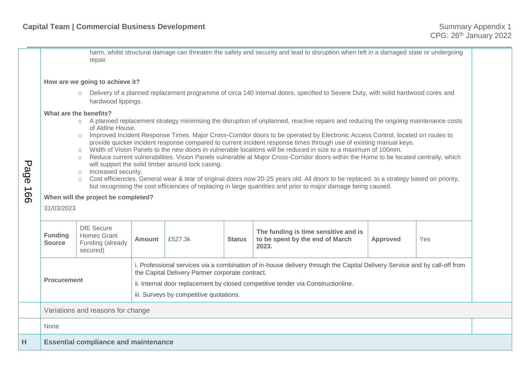| Page<br>991 | harm, whilst structural damage can threaten the safety and security and lead to disruption when left in a damaged state or undergoing<br>repair.                                                                                                                                                                                                                                                                                                                                                                                                                                                                                                                                                                                                                                                                                                                                                                                                                                                                                                                                                                                                   |                                                                         |                                                                                                                                                                               |         |               |                                                                                  |          |     |  |
|-------------|----------------------------------------------------------------------------------------------------------------------------------------------------------------------------------------------------------------------------------------------------------------------------------------------------------------------------------------------------------------------------------------------------------------------------------------------------------------------------------------------------------------------------------------------------------------------------------------------------------------------------------------------------------------------------------------------------------------------------------------------------------------------------------------------------------------------------------------------------------------------------------------------------------------------------------------------------------------------------------------------------------------------------------------------------------------------------------------------------------------------------------------------------|-------------------------------------------------------------------------|-------------------------------------------------------------------------------------------------------------------------------------------------------------------------------|---------|---------------|----------------------------------------------------------------------------------|----------|-----|--|
|             | How are we going to achieve it?                                                                                                                                                                                                                                                                                                                                                                                                                                                                                                                                                                                                                                                                                                                                                                                                                                                                                                                                                                                                                                                                                                                    |                                                                         |                                                                                                                                                                               |         |               |                                                                                  |          |     |  |
|             | Delivery of a planned replacement programme of circa 140 internal doors, specified to Severe Duty, with solid hardwood cores and<br>$\circ$<br>hardwood lippings.                                                                                                                                                                                                                                                                                                                                                                                                                                                                                                                                                                                                                                                                                                                                                                                                                                                                                                                                                                                  |                                                                         |                                                                                                                                                                               |         |               |                                                                                  |          |     |  |
|             | What are the benefits?<br>o A planned replacement strategy minimising the disruption of unplanned, reactive repairs and reducing the ongoing maintenance costs<br>of Aldine House.<br>Improved Incident Response Times. Major Cross-Corridor doors to be operated by Electronic Access Control, located on routes to<br>$\circ$<br>provide quicker incident response compared to current incident response times through use of existing manual keys.<br>o Width of Vision Panels to the new doors in vulnerable locations will be reduced in size to a maximum of 100mm.<br>Reduce current vulnerabilities. Vision Panels vulnerable at Major Cross-Corridor doors within the Home to be located centrally, which<br>$\circ$<br>will support the solid timber around lock casing.<br>Increased security.<br>$\circ$<br>Cost efficiencies. General wear & tear of original doors now 20-25 years old. All doors to be replaced, to a strategy based on priority,<br>$\circ$<br>but recognising the cost efficiencies of replacing in large quantities and prior to major damage being caused.<br>When will the project be completed?<br>31/03/2023 |                                                                         |                                                                                                                                                                               |         |               |                                                                                  |          |     |  |
|             | <b>Funding</b><br><b>Source</b>                                                                                                                                                                                                                                                                                                                                                                                                                                                                                                                                                                                                                                                                                                                                                                                                                                                                                                                                                                                                                                                                                                                    | <b>DfE</b> Secure<br><b>Homes Grant</b><br>Funding (already<br>secured) | <b>Amount</b>                                                                                                                                                                 | £527.3k | <b>Status</b> | The funding is time sensitive and is<br>to be spent by the end of March<br>2023. | Approved | Yes |  |
|             | <b>Procurement</b>                                                                                                                                                                                                                                                                                                                                                                                                                                                                                                                                                                                                                                                                                                                                                                                                                                                                                                                                                                                                                                                                                                                                 |                                                                         | i. Professional services via a combination of in-house delivery through the Capital Delivery Service and by call-off from<br>the Capital Delivery Partner corporate contract. |         |               |                                                                                  |          |     |  |
|             |                                                                                                                                                                                                                                                                                                                                                                                                                                                                                                                                                                                                                                                                                                                                                                                                                                                                                                                                                                                                                                                                                                                                                    |                                                                         | ii. Internal door replacement by closed competitive tender via Constructionline.                                                                                              |         |               |                                                                                  |          |     |  |
|             | iii. Surveys by competitive quotations.                                                                                                                                                                                                                                                                                                                                                                                                                                                                                                                                                                                                                                                                                                                                                                                                                                                                                                                                                                                                                                                                                                            |                                                                         |                                                                                                                                                                               |         |               |                                                                                  |          |     |  |
|             | Variations and reasons for change                                                                                                                                                                                                                                                                                                                                                                                                                                                                                                                                                                                                                                                                                                                                                                                                                                                                                                                                                                                                                                                                                                                  |                                                                         |                                                                                                                                                                               |         |               |                                                                                  |          |     |  |
|             | None                                                                                                                                                                                                                                                                                                                                                                                                                                                                                                                                                                                                                                                                                                                                                                                                                                                                                                                                                                                                                                                                                                                                               |                                                                         |                                                                                                                                                                               |         |               |                                                                                  |          |     |  |
|             |                                                                                                                                                                                                                                                                                                                                                                                                                                                                                                                                                                                                                                                                                                                                                                                                                                                                                                                                                                                                                                                                                                                                                    |                                                                         |                                                                                                                                                                               |         |               |                                                                                  |          |     |  |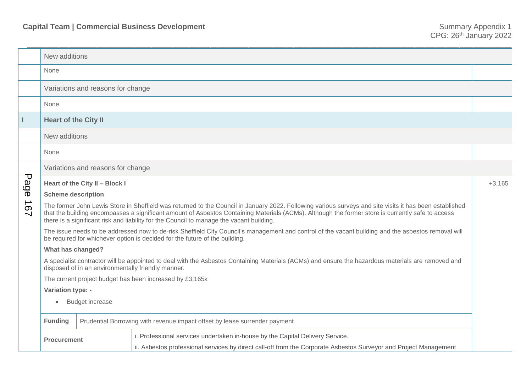|                                | New additions                                                                                                                                                                                                                                                                                                                                                                                                                                                                                                                   |  |                                                                                                                   |  |  |  |  |  |
|--------------------------------|---------------------------------------------------------------------------------------------------------------------------------------------------------------------------------------------------------------------------------------------------------------------------------------------------------------------------------------------------------------------------------------------------------------------------------------------------------------------------------------------------------------------------------|--|-------------------------------------------------------------------------------------------------------------------|--|--|--|--|--|
|                                | None                                                                                                                                                                                                                                                                                                                                                                                                                                                                                                                            |  |                                                                                                                   |  |  |  |  |  |
|                                | Variations and reasons for change                                                                                                                                                                                                                                                                                                                                                                                                                                                                                               |  |                                                                                                                   |  |  |  |  |  |
|                                | None                                                                                                                                                                                                                                                                                                                                                                                                                                                                                                                            |  |                                                                                                                   |  |  |  |  |  |
|                                | <b>Heart of the City II</b>                                                                                                                                                                                                                                                                                                                                                                                                                                                                                                     |  |                                                                                                                   |  |  |  |  |  |
|                                | New additions                                                                                                                                                                                                                                                                                                                                                                                                                                                                                                                   |  |                                                                                                                   |  |  |  |  |  |
|                                | None                                                                                                                                                                                                                                                                                                                                                                                                                                                                                                                            |  |                                                                                                                   |  |  |  |  |  |
|                                | Variations and reasons for change                                                                                                                                                                                                                                                                                                                                                                                                                                                                                               |  |                                                                                                                   |  |  |  |  |  |
|                                | Heart of the City II - Block I                                                                                                                                                                                                                                                                                                                                                                                                                                                                                                  |  |                                                                                                                   |  |  |  |  |  |
| Page                           | <b>Scheme description</b>                                                                                                                                                                                                                                                                                                                                                                                                                                                                                                       |  |                                                                                                                   |  |  |  |  |  |
| $\overline{\phantom{a}}$<br>29 | The former John Lewis Store in Sheffield was returned to the Council in January 2022. Following various surveys and site visits it has been established<br>that the building encompasses a significant amount of Asbestos Containing Materials (ACMs). Although the former store is currently safe to access<br>there is a significant risk and liability for the Council to manage the vacant building.                                                                                                                        |  |                                                                                                                   |  |  |  |  |  |
|                                | The issue needs to be addressed now to de-risk Sheffield City Council's management and control of the vacant building and the asbestos removal will<br>be required for whichever option is decided for the future of the building.<br>What has changed?<br>A specialist contractor will be appointed to deal with the Asbestos Containing Materials (ACMs) and ensure the hazardous materials are removed and<br>disposed of in an environmentally friendly manner.<br>The current project budget has been increased by £3,165k |  |                                                                                                                   |  |  |  |  |  |
|                                |                                                                                                                                                                                                                                                                                                                                                                                                                                                                                                                                 |  |                                                                                                                   |  |  |  |  |  |
|                                |                                                                                                                                                                                                                                                                                                                                                                                                                                                                                                                                 |  |                                                                                                                   |  |  |  |  |  |
|                                |                                                                                                                                                                                                                                                                                                                                                                                                                                                                                                                                 |  |                                                                                                                   |  |  |  |  |  |
|                                | Variation type: -                                                                                                                                                                                                                                                                                                                                                                                                                                                                                                               |  |                                                                                                                   |  |  |  |  |  |
|                                | <b>Budget increase</b><br>$\bullet$                                                                                                                                                                                                                                                                                                                                                                                                                                                                                             |  |                                                                                                                   |  |  |  |  |  |
|                                | <b>Funding</b><br>Prudential Borrowing with revenue impact offset by lease surrender payment                                                                                                                                                                                                                                                                                                                                                                                                                                    |  |                                                                                                                   |  |  |  |  |  |
|                                | <b>Procurement</b>                                                                                                                                                                                                                                                                                                                                                                                                                                                                                                              |  | i. Professional services undertaken in-house by the Capital Delivery Service.                                     |  |  |  |  |  |
|                                |                                                                                                                                                                                                                                                                                                                                                                                                                                                                                                                                 |  | ii. Asbestos professional services by direct call-off from the Corporate Asbestos Surveyor and Project Management |  |  |  |  |  |